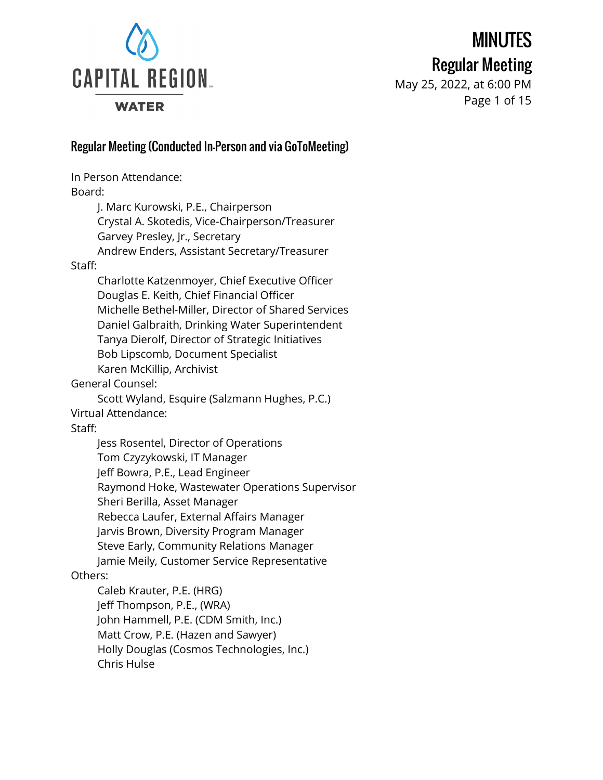

# MINUTES

Regular Meeting

May 25, 2022, at 6:00 PM Page 1 of 15

# Regular Meeting (Conducted In-Person and via GoToMeeting)

In Person Attendance: Board: J. Marc Kurowski, P.E., Chairperson Crystal A. Skotedis, Vice-Chairperson/Treasurer Garvey Presley, Jr., Secretary Andrew Enders, Assistant Secretary/Treasurer Staff: Charlotte Katzenmoyer, Chief Executive Officer Douglas E. Keith, Chief Financial Officer Michelle Bethel-Miller, Director of Shared Services Daniel Galbraith, Drinking Water Superintendent Tanya Dierolf, Director of Strategic Initiatives Bob Lipscomb, Document Specialist Karen McKillip, Archivist General Counsel: Scott Wyland, Esquire (Salzmann Hughes, P.C.) Virtual Attendance: Staff: Jess Rosentel, Director of Operations Tom Czyzykowski, IT Manager Jeff Bowra, P.E., Lead Engineer Raymond Hoke, Wastewater Operations Supervisor Sheri Berilla, Asset Manager Rebecca Laufer, External Affairs Manager Jarvis Brown, Diversity Program Manager Steve Early, Community Relations Manager Jamie Meily, Customer Service Representative Others: Caleb Krauter, P.E. (HRG) Jeff Thompson, P.E., (WRA) John Hammell, P.E. (CDM Smith, Inc.) Matt Crow, P.E. (Hazen and Sawyer) Holly Douglas (Cosmos Technologies, Inc.) Chris Hulse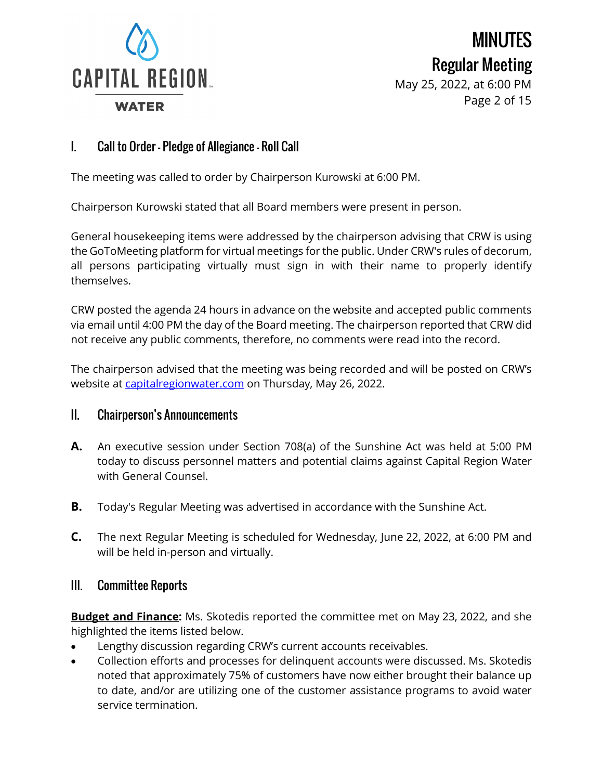

MINUTES Regular Meeting May 25, 2022, at 6:00 PM

Page 2 of 15

# I. Call to Order – Pledge of Allegiance – Roll Call

The meeting was called to order by Chairperson Kurowski at 6:00 PM.

Chairperson Kurowski stated that all Board members were present in person.

General housekeeping items were addressed by the chairperson advising that CRW is using the GoToMeeting platform for virtual meetings for the public. Under CRW's rules of decorum, all persons participating virtually must sign in with their name to properly identify themselves.

CRW posted the agenda 24 hours in advance on the website and accepted public comments via email until 4:00 PM the day of the Board meeting. The chairperson reported that CRW did not receive any public comments, therefore, no comments were read into the record.

The chairperson advised that the meeting was being recorded and will be posted on CRW's website at [capitalregionwater.com](https://capitalregionwater.com/board-meetings/) on Thursday, May 26, 2022.

#### II. Chairperson's Announcements

- **A.** An executive session under Section 708(a) of the Sunshine Act was held at 5:00 PM today to discuss personnel matters and potential claims against Capital Region Water with General Counsel.
- **B.** Today's Regular Meeting was advertised in accordance with the Sunshine Act.
- **C.** The next Regular Meeting is scheduled for Wednesday, June 22, 2022, at 6:00 PM and will be held in-person and virtually.

#### III. Committee Reports

**Budget and Finance:** Ms. Skotedis reported the committee met on May 23, 2022, and she highlighted the items listed below.

- Lengthy discussion regarding CRW's current accounts receivables.
- Collection efforts and processes for delinquent accounts were discussed. Ms. Skotedis noted that approximately 75% of customers have now either brought their balance up to date, and/or are utilizing one of the customer assistance programs to avoid water service termination.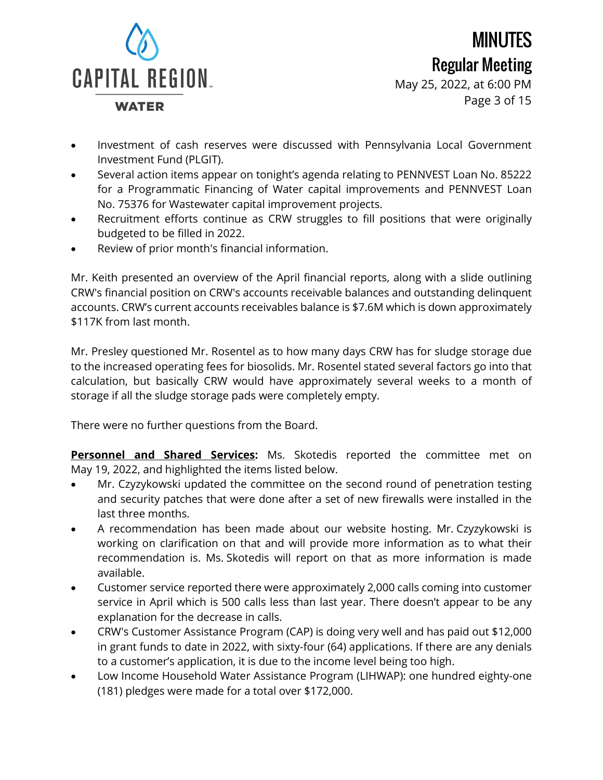

MINUTES Regular Meeting May 25, 2022, at 6:00 PM Page 3 of 15

- Investment of cash reserves were discussed with Pennsylvania Local Government Investment Fund (PLGIT).
- Several action items appear on tonight's agenda relating to PENNVEST Loan No. 85222 for a Programmatic Financing of Water capital improvements and PENNVEST Loan No. 75376 for Wastewater capital improvement projects.
- Recruitment efforts continue as CRW struggles to fill positions that were originally budgeted to be filled in 2022.
- Review of prior month's financial information.

Mr. Keith presented an overview of the April financial reports, along with a slide outlining CRW's financial position on CRW's accounts receivable balances and outstanding delinquent accounts. CRW's current accounts receivables balance is \$7.6M which is down approximately \$117K from last month.

Mr. Presley questioned Mr. Rosentel as to how many days CRW has for sludge storage due to the increased operating fees for biosolids. Mr. Rosentel stated several factors go into that calculation, but basically CRW would have approximately several weeks to a month of storage if all the sludge storage pads were completely empty.

There were no further questions from the Board.

**Personnel and Shared Services:** Ms. Skotedis reported the committee met on May 19, 2022, and highlighted the items listed below.

- Mr. Czyzykowski updated the committee on the second round of penetration testing and security patches that were done after a set of new firewalls were installed in the last three months.
- A recommendation has been made about our website hosting. Mr. Czyzykowski is working on clarification on that and will provide more information as to what their recommendation is. Ms. Skotedis will report on that as more information is made available.
- Customer service reported there were approximately 2,000 calls coming into customer service in April which is 500 calls less than last year. There doesn't appear to be any explanation for the decrease in calls.
- CRW's Customer Assistance Program (CAP) is doing very well and has paid out \$12,000 in grant funds to date in 2022, with sixty-four (64) applications. If there are any denials to a customer's application, it is due to the income level being too high.
- Low Income Household Water Assistance Program (LIHWAP): one hundred eighty-one (181) pledges were made for a total over \$172,000.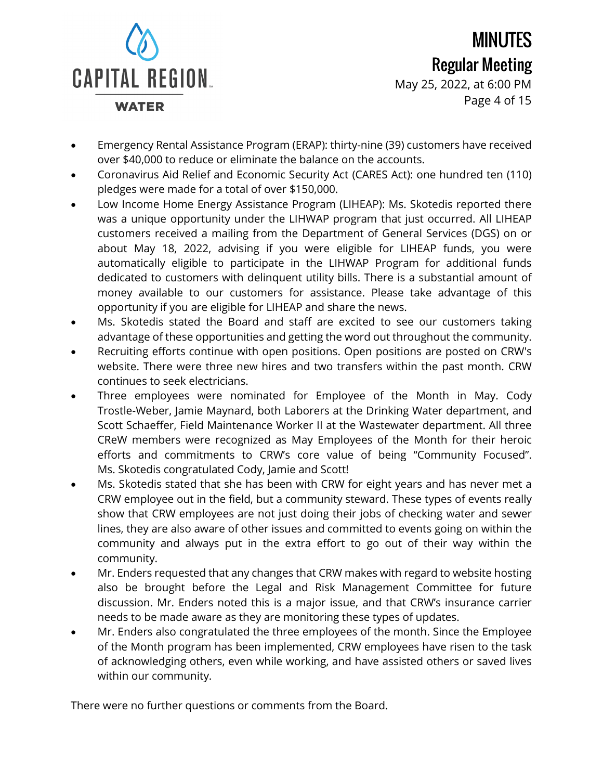

MINUTES Regular Meeting May 25, 2022, at 6:00 PM Page 4 of 15

- Emergency Rental Assistance Program (ERAP): thirty-nine (39) customers have received over \$40,000 to reduce or eliminate the balance on the accounts.
- Coronavirus Aid Relief and Economic Security Act (CARES Act): one hundred ten (110) pledges were made for a total of over \$150,000.
- Low Income Home Energy Assistance Program (LIHEAP): Ms. Skotedis reported there was a unique opportunity under the LIHWAP program that just occurred. All LIHEAP customers received a mailing from the Department of General Services (DGS) on or about May 18, 2022, advising if you were eligible for LIHEAP funds, you were automatically eligible to participate in the LIHWAP Program for additional funds dedicated to customers with delinquent utility bills. There is a substantial amount of money available to our customers for assistance. Please take advantage of this opportunity if you are eligible for LIHEAP and share the news.
- Ms. Skotedis stated the Board and staff are excited to see our customers taking advantage of these opportunities and getting the word out throughout the community.
- Recruiting efforts continue with open positions. Open positions are posted on CRW's website. There were three new hires and two transfers within the past month. CRW continues to seek electricians.
- Three employees were nominated for Employee of the Month in May. Cody Trostle-Weber, Jamie Maynard, both Laborers at the Drinking Water department, and Scott Schaeffer, Field Maintenance Worker II at the Wastewater department. All three CReW members were recognized as May Employees of the Month for their heroic efforts and commitments to CRW's core value of being "Community Focused". Ms. Skotedis congratulated Cody, Jamie and Scott!
- Ms. Skotedis stated that she has been with CRW for eight years and has never met a CRW employee out in the field, but a community steward. These types of events really show that CRW employees are not just doing their jobs of checking water and sewer lines, they are also aware of other issues and committed to events going on within the community and always put in the extra effort to go out of their way within the community.
- Mr. Enders requested that any changes that CRW makes with regard to website hosting also be brought before the Legal and Risk Management Committee for future discussion. Mr. Enders noted this is a major issue, and that CRW's insurance carrier needs to be made aware as they are monitoring these types of updates.
- Mr. Enders also congratulated the three employees of the month. Since the Employee of the Month program has been implemented, CRW employees have risen to the task of acknowledging others, even while working, and have assisted others or saved lives within our community.

There were no further questions or comments from the Board.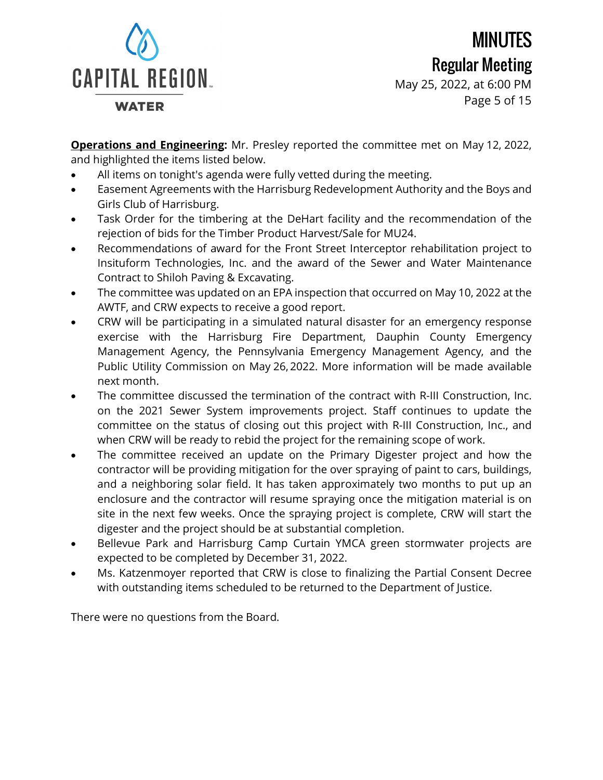

MINUTES Regular Meeting May 25, 2022, at 6:00 PM Page 5 of 15

**Operations and Engineering:** Mr. Presley reported the committee met on May 12, 2022, and highlighted the items listed below.

- All items on tonight's agenda were fully vetted during the meeting.
- Easement Agreements with the Harrisburg Redevelopment Authority and the Boys and Girls Club of Harrisburg.
- Task Order for the timbering at the DeHart facility and the recommendation of the rejection of bids for the Timber Product Harvest/Sale for MU24.
- Recommendations of award for the Front Street Interceptor rehabilitation project to Insituform Technologies, Inc. and the award of the Sewer and Water Maintenance Contract to Shiloh Paving & Excavating.
- The committee was updated on an EPA inspection that occurred on May 10, 2022 at the AWTF, and CRW expects to receive a good report.
- CRW will be participating in a simulated natural disaster for an emergency response exercise with the Harrisburg Fire Department, Dauphin County Emergency Management Agency, the Pennsylvania Emergency Management Agency, and the Public Utility Commission on May 26, 2022. More information will be made available next month.
- The committee discussed the termination of the contract with R-III Construction, Inc. on the 2021 Sewer System improvements project. Staff continues to update the committee on the status of closing out this project with R-III Construction, Inc., and when CRW will be ready to rebid the project for the remaining scope of work.
- The committee received an update on the Primary Digester project and how the contractor will be providing mitigation for the over spraying of paint to cars, buildings, and a neighboring solar field. It has taken approximately two months to put up an enclosure and the contractor will resume spraying once the mitigation material is on site in the next few weeks. Once the spraying project is complete, CRW will start the digester and the project should be at substantial completion.
- Bellevue Park and Harrisburg Camp Curtain YMCA green stormwater projects are expected to be completed by December 31, 2022.
- Ms. Katzenmoyer reported that CRW is close to finalizing the Partial Consent Decree with outstanding items scheduled to be returned to the Department of Justice.

There were no questions from the Board.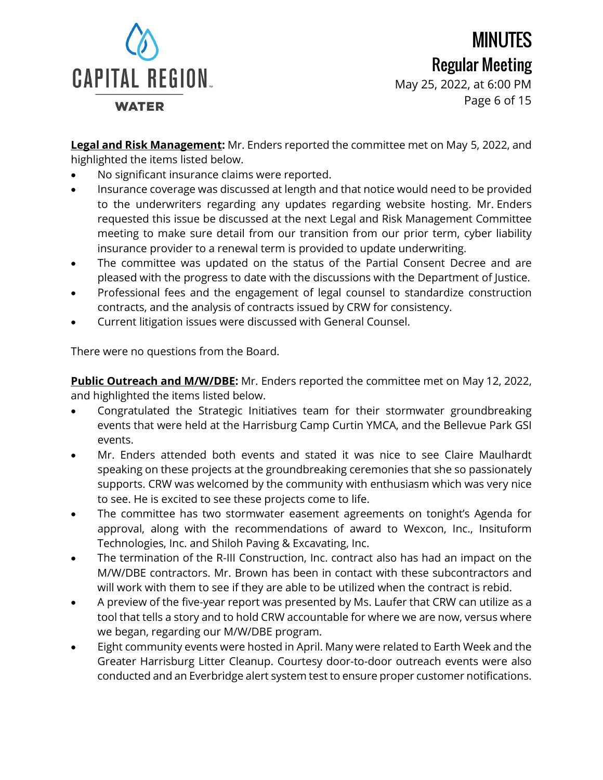

May 25, 2022, at 6:00 PM Page 6 of 15

**Legal and Risk Management:** Mr. Enders reported the committee met on May 5, 2022, and highlighted the items listed below.

- No significant insurance claims were reported.
- Insurance coverage was discussed at length and that notice would need to be provided to the underwriters regarding any updates regarding website hosting. Mr. Enders requested this issue be discussed at the next Legal and Risk Management Committee meeting to make sure detail from our transition from our prior term, cyber liability insurance provider to a renewal term is provided to update underwriting.
- The committee was updated on the status of the Partial Consent Decree and are pleased with the progress to date with the discussions with the Department of Justice.
- Professional fees and the engagement of legal counsel to standardize construction contracts, and the analysis of contracts issued by CRW for consistency.
- Current litigation issues were discussed with General Counsel.

There were no questions from the Board.

**Public Outreach and M/W/DBE:** Mr. Enders reported the committee met on May 12, 2022, and highlighted the items listed below.

- Congratulated the Strategic Initiatives team for their stormwater groundbreaking events that were held at the Harrisburg Camp Curtin YMCA, and the Bellevue Park GSI events.
- Mr. Enders attended both events and stated it was nice to see Claire Maulhardt speaking on these projects at the groundbreaking ceremonies that she so passionately supports. CRW was welcomed by the community with enthusiasm which was very nice to see. He is excited to see these projects come to life.
- The committee has two stormwater easement agreements on tonight's Agenda for approval, along with the recommendations of award to Wexcon, Inc., Insituform Technologies, Inc. and Shiloh Paving & Excavating, Inc.
- The termination of the R-III Construction, Inc. contract also has had an impact on the M/W/DBE contractors. Mr. Brown has been in contact with these subcontractors and will work with them to see if they are able to be utilized when the contract is rebid.
- A preview of the five-year report was presented by Ms. Laufer that CRW can utilize as a tool that tells a story and to hold CRW accountable for where we are now, versus where we began, regarding our M/W/DBE program.
- Eight community events were hosted in April. Many were related to Earth Week and the Greater Harrisburg Litter Cleanup. Courtesy door-to-door outreach events were also conducted and an Everbridge alert system test to ensure proper customer notifications.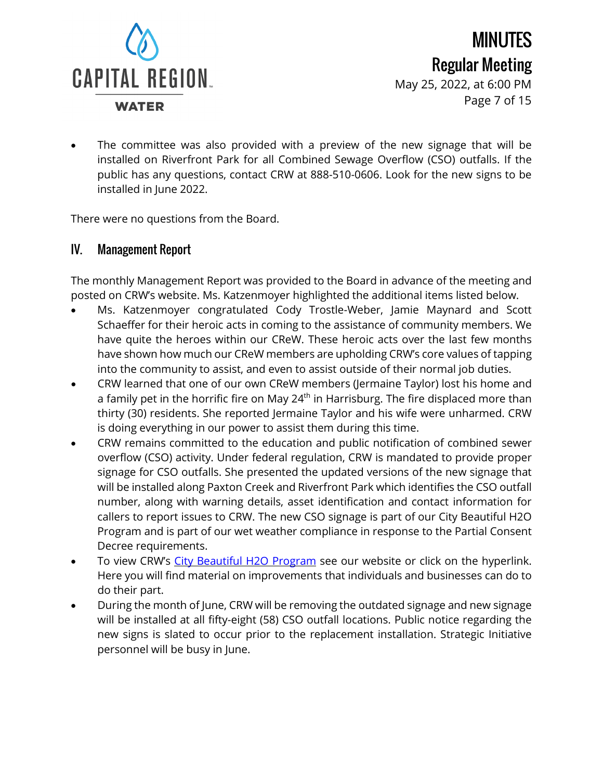

May 25, 2022, at 6:00 PM Page 7 of 15

The committee was also provided with a preview of the new signage that will be installed on Riverfront Park for all Combined Sewage Overflow (CSO) outfalls. If the public has any questions, contact CRW at 888-510-0606. Look for the new signs to be installed in June 2022.

There were no questions from the Board.

# IV. Management Report

The monthly Management Report was provided to the Board in advance of the meeting and posted on CRW's website. Ms. Katzenmoyer highlighted the additional items listed below.

- Ms. Katzenmoyer congratulated Cody Trostle-Weber, Jamie Maynard and Scott Schaeffer for their heroic acts in coming to the assistance of community members. We have quite the heroes within our CReW. These heroic acts over the last few months have shown how much our CReW members are upholding CRW's core values of tapping into the community to assist, and even to assist outside of their normal job duties.
- CRW learned that one of our own CReW members (Jermaine Taylor) lost his home and a family pet in the horrific fire on May  $24<sup>th</sup>$  in Harrisburg. The fire displaced more than thirty (30) residents. She reported Jermaine Taylor and his wife were unharmed. CRW is doing everything in our power to assist them during this time.
- CRW remains committed to the education and public notification of combined sewer overflow (CSO) activity. Under federal regulation, CRW is mandated to provide proper signage for CSO outfalls. She presented the updated versions of the new signage that will be installed along Paxton Creek and Riverfront Park which identifies the CSO outfall number, along with warning details, asset identification and contact information for callers to report issues to CRW. The new CSO signage is part of our City Beautiful H2O Program and is part of our wet weather compliance in response to the Partial Consent Decree requirements.
- To view CRW's City [Beautiful](https://capitalregionwater.com/resources/cbh2o-documents/) H2O Program see our website or click on the hyperlink. Here you will find material on improvements that individuals and businesses can do to do their part.
- During the month of June, CRW will be removing the outdated signage and new signage will be installed at all fifty-eight (58) CSO outfall locations. Public notice regarding the new signs is slated to occur prior to the replacement installation. Strategic Initiative personnel will be busy in June.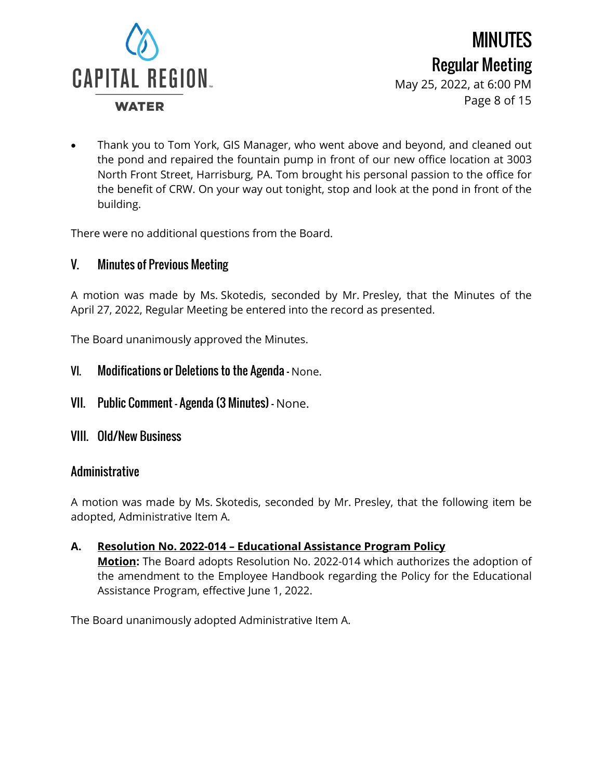

May 25, 2022, at 6:00 PM Page 8 of 15

• Thank you to Tom York, GIS Manager, who went above and beyond, and cleaned out the pond and repaired the fountain pump in front of our new office location at 3003 North Front Street, Harrisburg, PA. Tom brought his personal passion to the office for the benefit of CRW. On your way out tonight, stop and look at the pond in front of the building.

There were no additional questions from the Board.

# V. Minutes of Previous Meeting

A motion was made by Ms. Skotedis, seconded by Mr. Presley, that the Minutes of the April 27, 2022, Regular Meeting be entered into the record as presented.

The Board unanimously approved the Minutes.

- VI. Modifications or Deletions to the Agenda None.
- VII. Public Comment Agenda (3 Minutes) None.
- VIII. Old/New Business

# Administrative

A motion was made by Ms. Skotedis, seconded by Mr. Presley, that the following item be adopted, Administrative Item A.

**A. Resolution No. 2022-014 – Educational Assistance Program Policy Motion:** The Board adopts Resolution No. 2022-014 which authorizes the adoption of the amendment to the Employee Handbook regarding the Policy for the Educational Assistance Program, effective June 1, 2022.

The Board unanimously adopted Administrative Item A.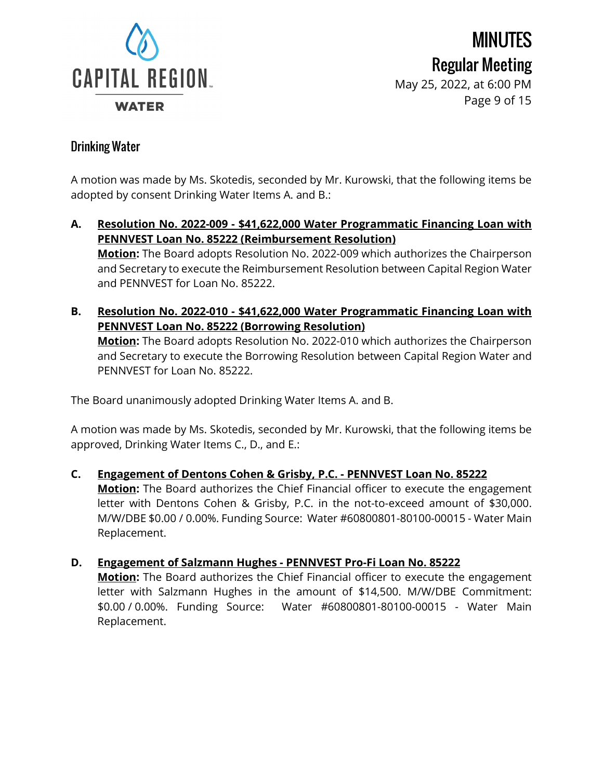

MINUTES Regular Meeting May 25, 2022, at 6:00 PM Page 9 of 15

# Drinking Water

A motion was made by Ms. Skotedis, seconded by Mr. Kurowski, that the following items be adopted by consent Drinking Water Items A. and B.:

- **A. Resolution No. 2022-009 - \$41,622,000 Water Programmatic Financing Loan with PENNVEST Loan No. 85222 (Reimbursement Resolution) Motion:** The Board adopts Resolution No. 2022-009 which authorizes the Chairperson and Secretary to execute the Reimbursement Resolution between Capital Region Water and PENNVEST for Loan No. 85222.
- **B. Resolution No. 2022-010 - \$41,622,000 Water Programmatic Financing Loan with PENNVEST Loan No. 85222 (Borrowing Resolution) Motion:** The Board adopts Resolution No. 2022-010 which authorizes the Chairperson and Secretary to execute the Borrowing Resolution between Capital Region Water and PENNVEST for Loan No. 85222.

The Board unanimously adopted Drinking Water Items A. and B.

A motion was made by Ms. Skotedis, seconded by Mr. Kurowski, that the following items be approved, Drinking Water Items C., D., and E.:

#### **C. Engagement of Dentons Cohen & Grisby, P.C. - PENNVEST Loan No. 85222**

**Motion:** The Board authorizes the Chief Financial officer to execute the engagement letter with Dentons Cohen & Grisby, P.C. in the not-to-exceed amount of \$30,000. M/W/DBE \$0.00 / 0.00%. Funding Source: Water #60800801-80100-00015 - Water Main Replacement.

#### **D. Engagement of Salzmann Hughes - PENNVEST Pro-Fi Loan No. 85222**

**Motion:** The Board authorizes the Chief Financial officer to execute the engagement letter with Salzmann Hughes in the amount of \$14,500. M/W/DBE Commitment: \$0.00 / 0.00%. Funding Source: Water #60800801-80100-00015 - Water Main Replacement.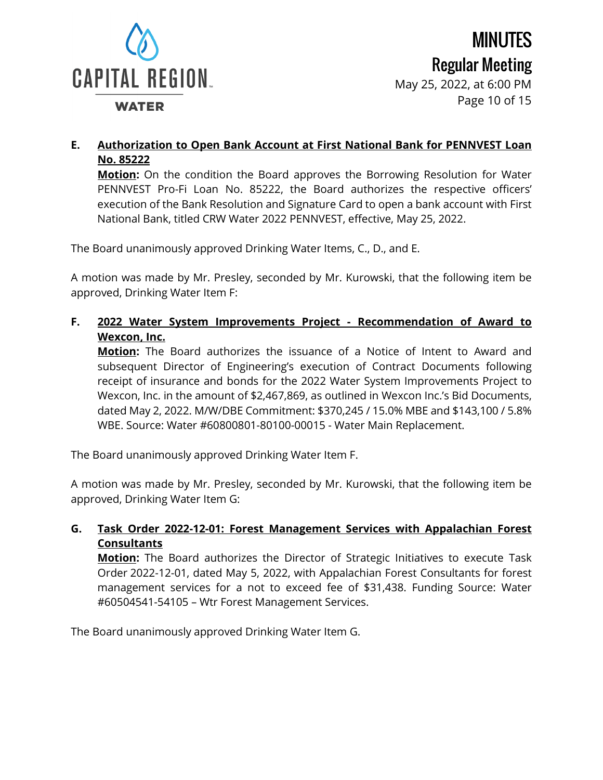

#### **E. Authorization to Open Bank Account at First National Bank for PENNVEST Loan No. 85222**

**Motion:** On the condition the Board approves the Borrowing Resolution for Water PENNVEST Pro-Fi Loan No. 85222, the Board authorizes the respective officers' execution of the Bank Resolution and Signature Card to open a bank account with First National Bank, titled CRW Water 2022 PENNVEST, effective, May 25, 2022.

The Board unanimously approved Drinking Water Items, C., D., and E.

A motion was made by Mr. Presley, seconded by Mr. Kurowski, that the following item be approved, Drinking Water Item F:

**F. 2022 Water System Improvements Project - Recommendation of Award to Wexcon, Inc.**

**Motion:** The Board authorizes the issuance of a Notice of Intent to Award and subsequent Director of Engineering's execution of Contract Documents following receipt of insurance and bonds for the 2022 Water System Improvements Project to Wexcon, Inc. in the amount of \$2,467,869, as outlined in Wexcon Inc.'s Bid Documents, dated May 2, 2022. M/W/DBE Commitment: \$370,245 / 15.0% MBE and \$143,100 / 5.8% WBE. Source: Water #60800801-80100-00015 - Water Main Replacement.

The Board unanimously approved Drinking Water Item F.

A motion was made by Mr. Presley, seconded by Mr. Kurowski, that the following item be approved, Drinking Water Item G:

#### **G. Task Order 2022-12-01: Forest Management Services with Appalachian Forest Consultants**

**Motion:** The Board authorizes the Director of Strategic Initiatives to execute Task Order 2022-12-01, dated May 5, 2022, with Appalachian Forest Consultants for forest management services for a not to exceed fee of \$31,438. Funding Source: Water #60504541-54105 – Wtr Forest Management Services.

The Board unanimously approved Drinking Water Item G.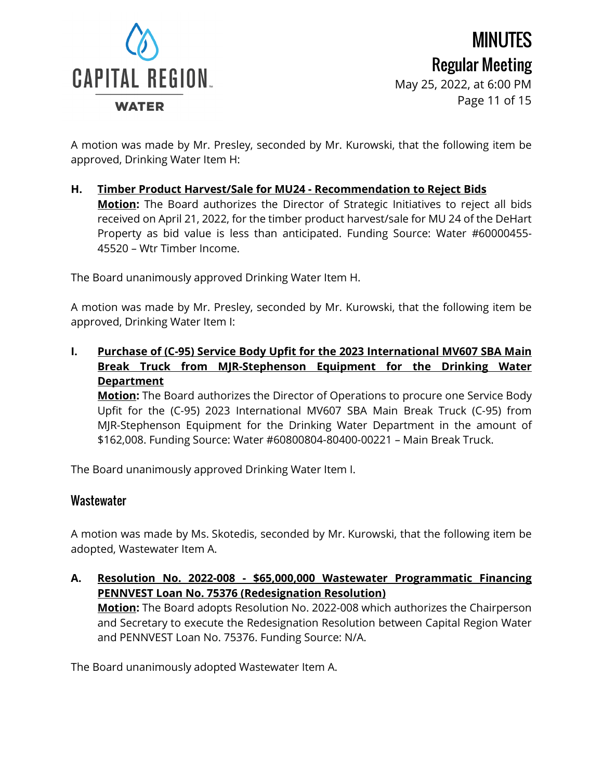

MINUTES Regular Meeting May 25, 2022, at 6:00 PM Page 11 of 15

A motion was made by Mr. Presley, seconded by Mr. Kurowski, that the following item be approved, Drinking Water Item H:

**H. Timber Product Harvest/Sale for MU24 - Recommendation to Reject Bids Motion:** The Board authorizes the Director of Strategic Initiatives to reject all bids received on April 21, 2022, for the timber product harvest/sale for MU 24 of the DeHart Property as bid value is less than anticipated. Funding Source: Water #60000455- 45520 – Wtr Timber Income.

The Board unanimously approved Drinking Water Item H.

A motion was made by Mr. Presley, seconded by Mr. Kurowski, that the following item be approved, Drinking Water Item I:

**I. Purchase of (C-95) Service Body Upfit for the 2023 International MV607 SBA Main Break Truck from MJR-Stephenson Equipment for the Drinking Water Department**

**Motion:** The Board authorizes the Director of Operations to procure one Service Body Upfit for the (C-95) 2023 International MV607 SBA Main Break Truck (C-95) from MJR-Stephenson Equipment for the Drinking Water Department in the amount of \$162,008. Funding Source: Water #60800804-80400-00221 – Main Break Truck.

The Board unanimously approved Drinking Water Item I.

# **Wastewater**

A motion was made by Ms. Skotedis, seconded by Mr. Kurowski, that the following item be adopted, Wastewater Item A.

**A. Resolution No. 2022-008 - \$65,000,000 Wastewater Programmatic Financing PENNVEST Loan No. 75376 (Redesignation Resolution)**

**Motion:** The Board adopts Resolution No. 2022-008 which authorizes the Chairperson and Secretary to execute the Redesignation Resolution between Capital Region Water and PENNVEST Loan No. 75376. Funding Source: N/A.

The Board unanimously adopted Wastewater Item A.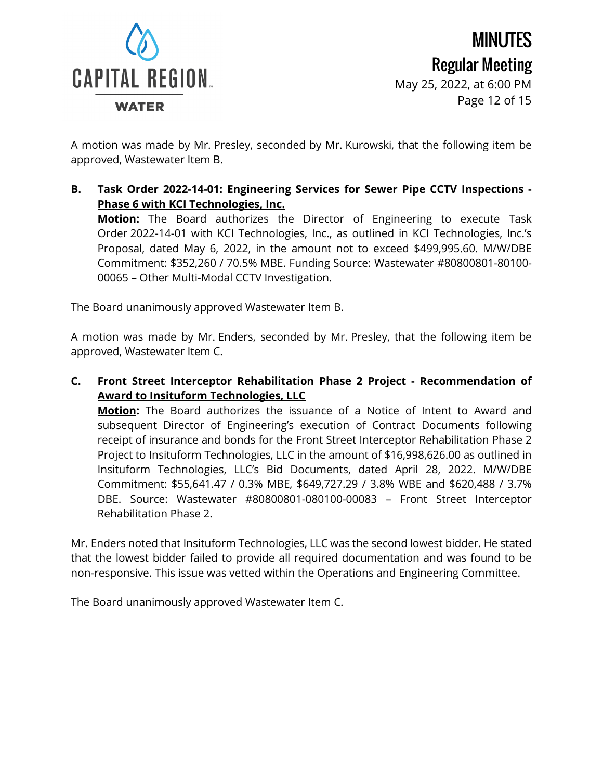

MINUTES Regular Meeting May 25, 2022, at 6:00 PM Page 12 of 15

A motion was made by Mr. Presley, seconded by Mr. Kurowski, that the following item be approved, Wastewater Item B.

**B. Task Order 2022-14-01: Engineering Services for Sewer Pipe CCTV Inspections - Phase 6 with KCI Technologies, Inc.**

**Motion:** The Board authorizes the Director of Engineering to execute Task Order 2022-14-01 with KCI Technologies, Inc., as outlined in KCI Technologies, Inc.'s Proposal, dated May 6, 2022, in the amount not to exceed \$499,995.60. M/W/DBE Commitment: \$352,260 / 70.5% MBE. Funding Source: Wastewater #80800801-80100- 00065 – Other Multi-Modal CCTV Investigation.

The Board unanimously approved Wastewater Item B.

A motion was made by Mr. Enders, seconded by Mr. Presley, that the following item be approved, Wastewater Item C.

**C. Front Street Interceptor Rehabilitation Phase 2 Project - Recommendation of Award to Insituform Technologies, LLC**

**Motion:** The Board authorizes the issuance of a Notice of Intent to Award and subsequent Director of Engineering's execution of Contract Documents following receipt of insurance and bonds for the Front Street Interceptor Rehabilitation Phase 2 Project to Insituform Technologies, LLC in the amount of \$16,998,626.00 as outlined in Insituform Technologies, LLC's Bid Documents, dated April 28, 2022. M/W/DBE Commitment: \$55,641.47 / 0.3% MBE, \$649,727.29 / 3.8% WBE and \$620,488 / 3.7% DBE. Source: Wastewater #80800801-080100-00083 – Front Street Interceptor Rehabilitation Phase 2.

Mr. Enders noted that Insituform Technologies, LLC was the second lowest bidder. He stated that the lowest bidder failed to provide all required documentation and was found to be non-responsive. This issue was vetted within the Operations and Engineering Committee.

The Board unanimously approved Wastewater Item C.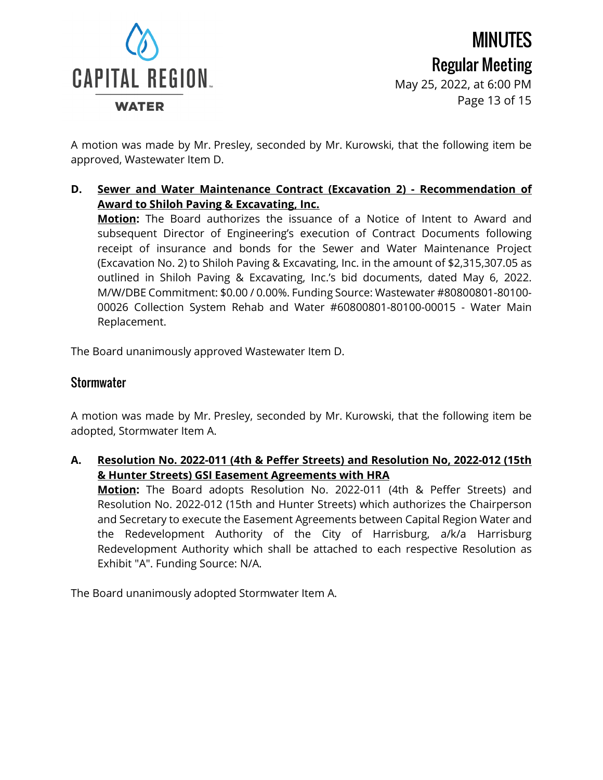

MINUTES Regular Meeting May 25, 2022, at 6:00 PM Page 13 of 15

A motion was made by Mr. Presley, seconded by Mr. Kurowski, that the following item be approved, Wastewater Item D.

**D. Sewer and Water Maintenance Contract (Excavation 2) - Recommendation of Award to Shiloh Paving & Excavating, Inc.**

**Motion:** The Board authorizes the issuance of a Notice of Intent to Award and subsequent Director of Engineering's execution of Contract Documents following receipt of insurance and bonds for the Sewer and Water Maintenance Project (Excavation No. 2) to Shiloh Paving & Excavating, Inc. in the amount of \$2,315,307.05 as outlined in Shiloh Paving & Excavating, Inc.'s bid documents, dated May 6, 2022. M/W/DBE Commitment: \$0.00 / 0.00%. Funding Source: Wastewater #80800801-80100- 00026 Collection System Rehab and Water #60800801-80100-00015 - Water Main Replacement.

The Board unanimously approved Wastewater Item D.

# **Stormwater**

A motion was made by Mr. Presley, seconded by Mr. Kurowski, that the following item be adopted, Stormwater Item A.

**A. Resolution No. 2022-011 (4th & Peffer Streets) and Resolution No, 2022-012 (15th & Hunter Streets) GSI Easement Agreements with HRA**

**Motion:** The Board adopts Resolution No. 2022-011 (4th & Peffer Streets) and Resolution No. 2022-012 (15th and Hunter Streets) which authorizes the Chairperson and Secretary to execute the Easement Agreements between Capital Region Water and the Redevelopment Authority of the City of Harrisburg, a/k/a Harrisburg Redevelopment Authority which shall be attached to each respective Resolution as Exhibit "A". Funding Source: N/A.

The Board unanimously adopted Stormwater Item A.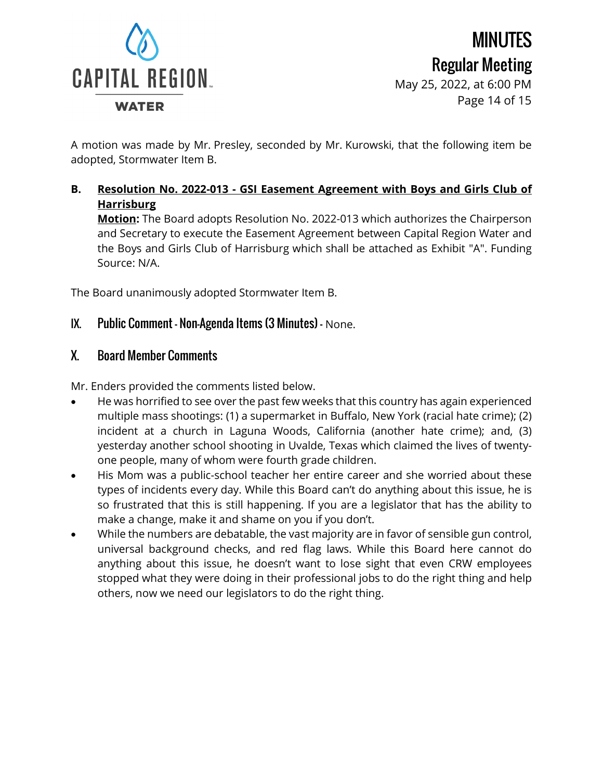

Regular Meeting May 25, 2022, at 6:00 PM Page 14 of 15

MINUTES

A motion was made by Mr. Presley, seconded by Mr. Kurowski, that the following item be adopted, Stormwater Item B.

**B. Resolution No. 2022-013 - GSI Easement Agreement with Boys and Girls Club of Harrisburg**

**Motion:** The Board adopts Resolution No. 2022-013 which authorizes the Chairperson and Secretary to execute the Easement Agreement between Capital Region Water and the Boys and Girls Club of Harrisburg which shall be attached as Exhibit "A". Funding Source: N/A.

The Board unanimously adopted Stormwater Item B.

### IX. Public Comment – Non-Agenda Items (3 Minutes) – None.

#### X. Board Member Comments

Mr. Enders provided the comments listed below.

- He was horrified to see over the past few weeks that this country has again experienced multiple mass shootings: (1) a supermarket in Buffalo, New York (racial hate crime); (2) incident at a church in Laguna Woods, California (another hate crime); and, (3) yesterday another school shooting in Uvalde, Texas which claimed the lives of twentyone people, many of whom were fourth grade children.
- His Mom was a public-school teacher her entire career and she worried about these types of incidents every day. While this Board can't do anything about this issue, he is so frustrated that this is still happening. If you are a legislator that has the ability to make a change, make it and shame on you if you don't.
- While the numbers are debatable, the vast majority are in favor of sensible gun control, universal background checks, and red flag laws. While this Board here cannot do anything about this issue, he doesn't want to lose sight that even CRW employees stopped what they were doing in their professional jobs to do the right thing and help others, now we need our legislators to do the right thing.